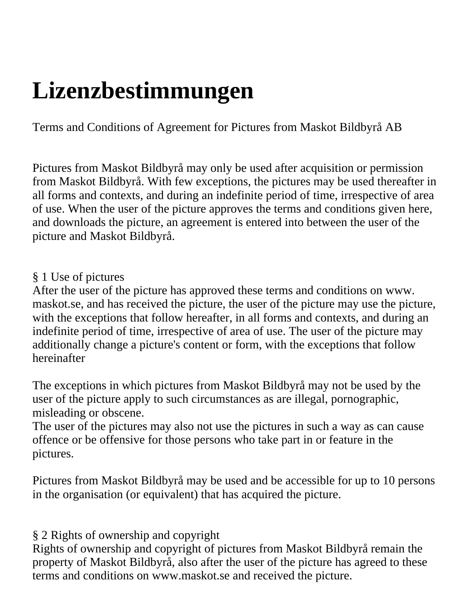# **Lizenzbestimmungen**

Terms and Conditions of Agreement for Pictures from Maskot Bildbyrå AB

Pictures from Maskot Bildbyrå may only be used after acquisition or permission from Maskot Bildbyrå. With few exceptions, the pictures may be used thereafter in all forms and contexts, and during an indefinite period of time, irrespective of area of use. When the user of the picture approves the terms and conditions given here, and downloads the picture, an agreement is entered into between the user of the picture and Maskot Bildbyrå.

#### § 1 Use of pictures

After the user of the picture has approved these terms and conditions on www. maskot.se, and has received the picture, the user of the picture may use the picture, with the exceptions that follow hereafter, in all forms and contexts, and during an indefinite period of time, irrespective of area of use. The user of the picture may additionally change a picture's content or form, with the exceptions that follow hereinafter

The exceptions in which pictures from Maskot Bildbyrå may not be used by the user of the picture apply to such circumstances as are illegal, pornographic, misleading or obscene.

The user of the pictures may also not use the pictures in such a way as can cause offence or be offensive for those persons who take part in or feature in the pictures.

Pictures from Maskot Bildbyrå may be used and be accessible for up to 10 persons in the organisation (or equivalent) that has acquired the picture.

§ 2 Rights of ownership and copyright

Rights of ownership and copyright of pictures from Maskot Bildbyrå remain the property of Maskot Bildbyrå, also after the user of the picture has agreed to these terms and conditions on www.maskot.se and received the picture.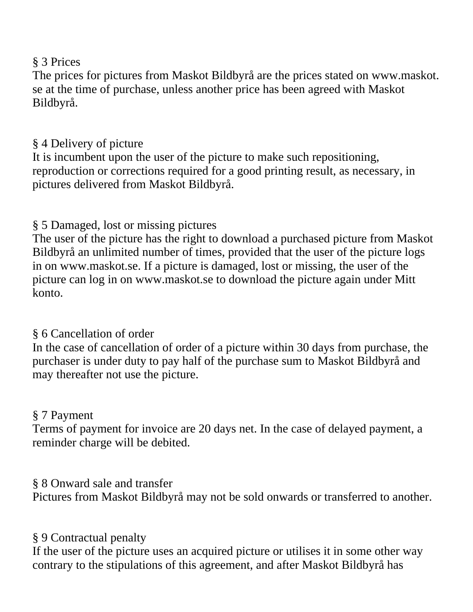#### § 3 Prices

The prices for pictures from Maskot Bildbyrå are the prices stated on www.maskot. se at the time of purchase, unless another price has been agreed with Maskot Bildbyrå.

### § 4 Delivery of picture

It is incumbent upon the user of the picture to make such repositioning, reproduction or corrections required for a good printing result, as necessary, in pictures delivered from Maskot Bildbyrå.

## § 5 Damaged, lost or missing pictures

The user of the picture has the right to download a purchased picture from Maskot Bildbyrå an unlimited number of times, provided that the user of the picture logs in on www.maskot.se. If a picture is damaged, lost or missing, the user of the picture can log in on www.maskot.se to download the picture again under Mitt konto.

#### § 6 Cancellation of order

In the case of cancellation of order of a picture within 30 days from purchase, the purchaser is under duty to pay half of the purchase sum to Maskot Bildbyrå and may thereafter not use the picture.

#### § 7 Payment

Terms of payment for invoice are 20 days net. In the case of delayed payment, a reminder charge will be debited.

## § 8 Onward sale and transfer

Pictures from Maskot Bildbyrå may not be sold onwards or transferred to another.

## § 9 Contractual penalty

If the user of the picture uses an acquired picture or utilises it in some other way contrary to the stipulations of this agreement, and after Maskot Bildbyrå has